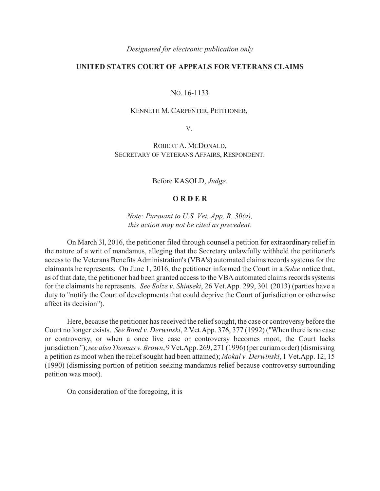*Designated for electronic publication only*

## **UNITED STATES COURT OF APPEALS FOR VETERANS CLAIMS**

## NO. 16-1133

## KENNETH M. CARPENTER, PETITIONER,

V.

ROBERT A. MCDONALD, SECRETARY OF VETERANS AFFAIRS, RESPONDENT.

Before KASOLD, *Judge*.

## **O R D E R**

*Note: Pursuant to U.S. Vet. App. R. 30(a), this action may not be cited as precedent.*

On March 3l, 2016, the petitioner filed through counsel a petition for extraordinary relief in the nature of a writ of mandamus, alleging that the Secretary unlawfully withheld the petitioner's access to the Veterans Benefits Administration's (VBA's) automated claims records systems for the claimants he represents. On June 1, 2016, the petitioner informed the Court in a *Solze* notice that, as of that date, the petitioner had been granted access to the VBA automated claims records systems for the claimants he represents. *See Solze v. Shinseki*, 26 Vet.App. 299, 301 (2013) (parties have a duty to "notify the Court of developments that could deprive the Court of jurisdiction or otherwise affect its decision").

Here, because the petitioner has received the relief sought, the case or controversy before the Court no longer exists. *See Bond v. Derwinski*, 2 Vet.App. 376, 377 (1992) ("When there is no case or controversy, or when a once live case or controversy becomes moot, the Court lacks jurisdiction."); *see also Thomas v. Brown*, 9 Vet.App. 269, 271 (1996) (per curiam order) (dismissing a petition as moot when the relief sought had been attained); *Mokal v. Derwinski*, 1 Vet.App. 12, 15 (1990) (dismissing portion of petition seeking mandamus relief because controversy surrounding petition was moot).

On consideration of the foregoing, it is